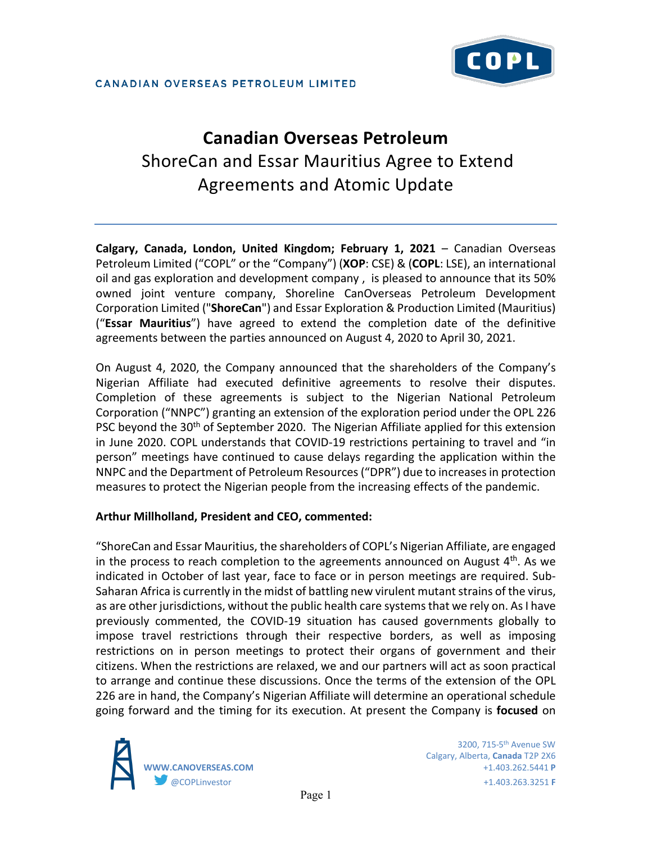

# **Canadian Overseas Petroleum**  ShoreCan and Essar Mauritius Agree to Extend Agreements and Atomic Update

**Calgary, Canada, London, United Kingdom; February 1, 2021** – Canadian Overseas Petroleum Limited ("COPL" or the "Company") (**XOP**: CSE) & (**COPL**: LSE), an international oil and gas exploration and development company , is pleased to announce that its 50% owned joint venture company, Shoreline CanOverseas Petroleum Development Corporation Limited ("**ShoreCan**") and Essar Exploration & Production Limited (Mauritius) ("**Essar Mauritius**") have agreed to extend the completion date of the definitive agreements between the parties announced on August 4, 2020 to April 30, 2021.

On August 4, 2020, the Company announced that the shareholders of the Company's Nigerian Affiliate had executed definitive agreements to resolve their disputes. Completion of these agreements is subject to the Nigerian National Petroleum Corporation ("NNPC") granting an extension of the exploration period under the OPL 226 PSC beyond the 30<sup>th</sup> of September 2020. The Nigerian Affiliate applied for this extension in June 2020. COPL understands that COVID-19 restrictions pertaining to travel and "in person" meetings have continued to cause delays regarding the application within the NNPC and the Department of Petroleum Resources ("DPR") due to increases in protection measures to protect the Nigerian people from the increasing effects of the pandemic.

#### **Arthur Millholland, President and CEO, commented:**

"ShoreCan and Essar Mauritius, the shareholders of COPL's Nigerian Affiliate, are engaged in the process to reach completion to the agreements announced on August  $4<sup>th</sup>$ . As we indicated in October of last year, face to face or in person meetings are required. Sub-Saharan Africa is currently in the midst of battling new virulent mutant strains of the virus, as are other jurisdictions, without the public health care systems that we rely on. As I have previously commented, the COVID-19 situation has caused governments globally to impose travel restrictions through their respective borders, as well as imposing restrictions on in person meetings to protect their organs of government and their citizens. When the restrictions are relaxed, we and our partners will act as soon practical to arrange and continue these discussions. Once the terms of the extension of the OPL 226 are in hand, the Company's Nigerian Affiliate will determine an operational schedule going forward and the timing for its execution. At present the Company is **focused** on



 3200, 715-5th Avenue SW Calgary, Alberta, **Canada** T2P 2X6 **WWW.CANOVERSEAS.COM** +1.403.262.5441 **P** @COPLinvestor +1.403.263.3251 **F**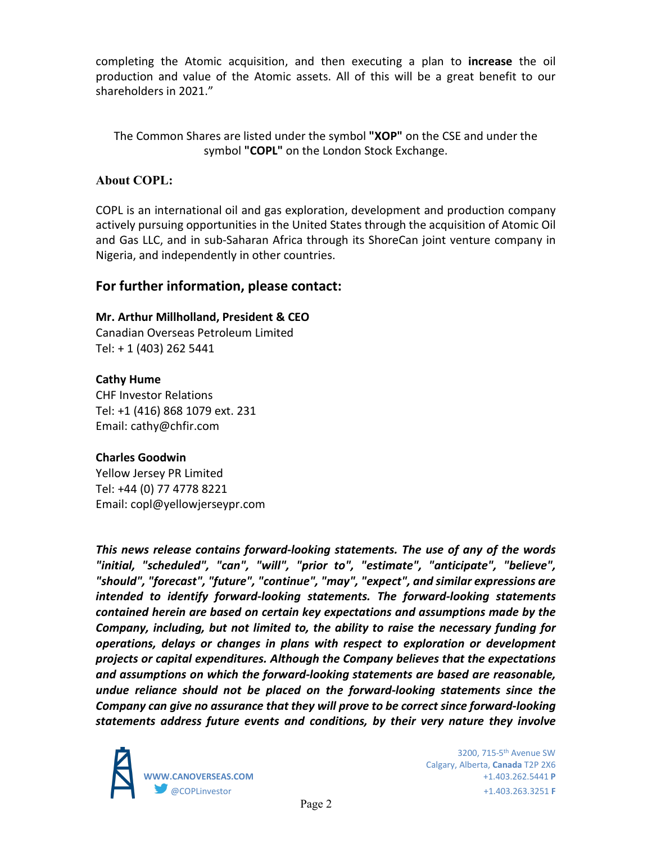completing the Atomic acquisition, and then executing a plan to **increase** the oil production and value of the Atomic assets. All of this will be a great benefit to our shareholders in 2021."

The Common Shares are listed under the symbol **"XOP"** on the CSE and under the symbol **"COPL"** on the London Stock Exchange.

## **About COPL:**

COPL is an international oil and gas exploration, development and production company actively pursuing opportunities in the United States through the acquisition of Atomic Oil and Gas LLC, and in sub-Saharan Africa through its ShoreCan joint venture company in Nigeria, and independently in other countries.

# **For further information, please contact:**

### **Mr. Arthur Millholland, President & CEO**

Canadian Overseas Petroleum Limited Tel: + 1 (403) 262 5441

# **Cathy Hume**

CHF Investor Relations Tel: +1 (416) 868 1079 ext. 231 Email: cathy@chfir.com

## **Charles Goodwin**

Yellow Jersey PR Limited Tel: +44 (0) 77 4778 8221 Email: copl@yellowjerseypr.com

*This news release contains forward-looking statements. The use of any of the words "initial, "scheduled", "can", "will", "prior to", "estimate", "anticipate", "believe", "should", "forecast", "future", "continue", "may", "expect", and similar expressions are intended to identify forward-looking statements. The forward-looking statements contained herein are based on certain key expectations and assumptions made by the Company, including, but not limited to, the ability to raise the necessary funding for operations, delays or changes in plans with respect to exploration or development projects or capital expenditures. Although the Company believes that the expectations and assumptions on which the forward-looking statements are based are reasonable, undue reliance should not be placed on the forward-looking statements since the Company can give no assurance that they will prove to be correct since forward-looking statements address future events and conditions, by their very nature they involve* 



 3200, 715-5th Avenue SW Calgary, Alberta, **Canada** T2P 2X6 **WWW.CANOVERSEAS.COM** +1.403.262.5441 **P** @COPLinvestor +1.403.263.3251 **F**